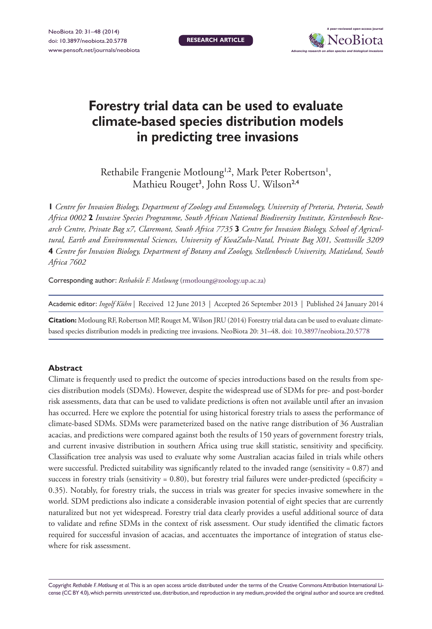

# **Forestry trial data can be used to evaluate climate-based species distribution models in predicting tree invasions**

Rethabile Frangenie Motloung<sup>1,2</sup>, Mark Peter Robertson<sup>1</sup>, Mathieu Rouget<sup>3</sup>, John Ross U. Wilson<sup>2,4</sup>

**1** *Centre for Invasion Biology, Department of Zoology and Entomology, University of Pretoria, Pretoria, South Africa 0002* **2** *Invasive Species Programme, South African National Biodiversity Institute, Kirstenbosch Research Centre, Private Bag x7, Claremont, South Africa 7735* **3** *Centre for Invasion Biology, School of Agricultural, Earth and Environmental Sciences, University of KwaZulu-Natal, Private Bag X01, Scottsville 3209*  **4** *Centre for Invasion Biology, Department of Botany and Zoology, Stellenbosch University, Matieland, South Africa 7602*

Corresponding author: *Rethabile F. Motloung* ([rmotloung@zoology.up.ac.za\)](mailto:rmotloung@zoology.up.ac.za)

**Citation:** Motloung RF, Robertson MP, Rouget M, Wilson JRU (2014) Forestry trial data can be used to evaluate climatebased species distribution models in predicting tree invasions. NeoBiota 20: 31–48. [doi: 10.3897/neobiota.20.5778](http://dx.doi.org/10.3897/neobiota.20.5778)

#### **Abstract**

Climate is frequently used to predict the outcome of species introductions based on the results from species distribution models (SDMs). However, despite the widespread use of SDMs for pre- and post-border risk assessments, data that can be used to validate predictions is often not available until after an invasion has occurred. Here we explore the potential for using historical forestry trials to assess the performance of climate-based SDMs. SDMs were parameterized based on the native range distribution of 36 Australian acacias, and predictions were compared against both the results of 150 years of government forestry trials, and current invasive distribution in southern Africa using true skill statistic, sensitivity and specificity. Classification tree analysis was used to evaluate why some Australian acacias failed in trials while others were successful. Predicted suitability was significantly related to the invaded range (sensitivity = 0.87) and success in forestry trials (sensitivity =  $0.80$ ), but forestry trial failures were under-predicted (specificity = 0.35). Notably, for forestry trials, the success in trials was greater for species invasive somewhere in the world. SDM predictions also indicate a considerable invasion potential of eight species that are currently naturalized but not yet widespread. Forestry trial data clearly provides a useful additional source of data to validate and refine SDMs in the context of risk assessment. Our study identified the climatic factors required for successful invasion of acacias, and accentuates the importance of integration of status elsewhere for risk assessment.

Copyright *Rethabile F. Motloung et al.* This is an open access article distributed under the terms of the [Creative Commons Attribution International Li](http://creativecommons.org/licenses/by/4.0/)[cense \(CC BY 4.0\),](http://creativecommons.org/licenses/by/4.0/) which permits unrestricted use, distribution, and reproduction in any medium, provided the original author and source are credited.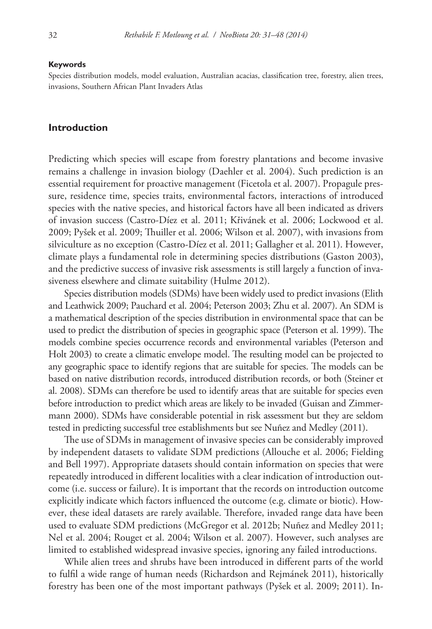#### **Keywords**

Species distribution models, model evaluation, Australian acacias, classification tree, forestry, alien trees, invasions, Southern African Plant Invaders Atlas

#### **Introduction**

Predicting which species will escape from forestry plantations and become invasive remains a challenge in invasion biology (Daehler et al. 2004). Such prediction is an essential requirement for proactive management (Ficetola et al. 2007). Propagule pressure, residence time, species traits, environmental factors, interactions of introduced species with the native species, and historical factors have all been indicated as drivers of invasion success (Castro-Díez et al. 2011; Křivánek et al. 2006; Lockwood et al. 2009; Pyšek et al. 2009; Thuiller et al. 2006; Wilson et al. 2007), with invasions from silviculture as no exception (Castro-Díez et al. 2011; Gallagher et al. 2011). However, climate plays a fundamental role in determining species distributions (Gaston 2003), and the predictive success of invasive risk assessments is still largely a function of invasiveness elsewhere and climate suitability (Hulme 2012).

Species distribution models (SDMs) have been widely used to predict invasions (Elith and Leathwick 2009; Pauchard et al. 2004; Peterson 2003; Zhu et al. 2007). An SDM is a mathematical description of the species distribution in environmental space that can be used to predict the distribution of species in geographic space (Peterson et al. 1999). The models combine species occurrence records and environmental variables (Peterson and Holt 2003) to create a climatic envelope model. The resulting model can be projected to any geographic space to identify regions that are suitable for species. The models can be based on native distribution records, introduced distribution records, or both (Steiner et al. 2008). SDMs can therefore be used to identify areas that are suitable for species even before introduction to predict which areas are likely to be invaded (Guisan and Zimmermann 2000). SDMs have considerable potential in risk assessment but they are seldom tested in predicting successful tree establishments but see Nuñez and Medley (2011).

The use of SDMs in management of invasive species can be considerably improved by independent datasets to validate SDM predictions (Allouche et al. 2006; Fielding and Bell 1997). Appropriate datasets should contain information on species that were repeatedly introduced in different localities with a clear indication of introduction outcome (i.e. success or failure). It is important that the records on introduction outcome explicitly indicate which factors influenced the outcome (e.g. climate or biotic). However, these ideal datasets are rarely available. Therefore, invaded range data have been used to evaluate SDM predictions (McGregor et al. 2012b; Nuñez and Medley 2011; Nel et al. 2004; Rouget et al. 2004; Wilson et al. 2007). However, such analyses are limited to established widespread invasive species, ignoring any failed introductions.

While alien trees and shrubs have been introduced in different parts of the world to fulfil a wide range of human needs (Richardson and Rejmánek 2011), historically forestry has been one of the most important pathways (Pyšek et al. 2009; 2011). In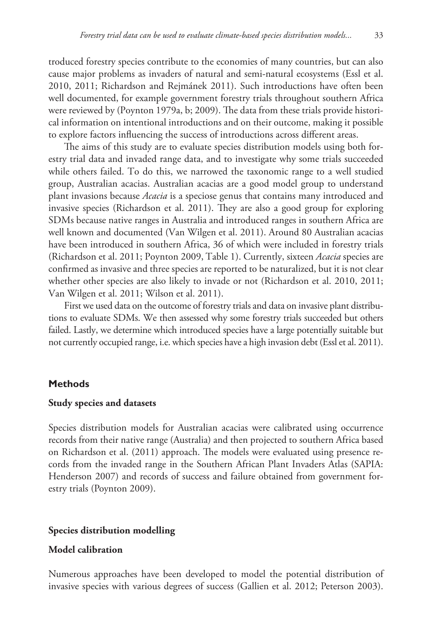troduced forestry species contribute to the economies of many countries, but can also cause major problems as invaders of natural and semi-natural ecosystems (Essl et al. 2010, 2011; Richardson and Rejmánek 2011). Such introductions have often been well documented, for example government forestry trials throughout southern Africa were reviewed by (Poynton 1979a, b; 2009). The data from these trials provide historical information on intentional introductions and on their outcome, making it possible to explore factors influencing the success of introductions across different areas.

The aims of this study are to evaluate species distribution models using both forestry trial data and invaded range data, and to investigate why some trials succeeded while others failed. To do this, we narrowed the taxonomic range to a well studied group, Australian acacias. Australian acacias are a good model group to understand plant invasions because *Acacia* is a speciose genus that contains many introduced and invasive species (Richardson et al. 2011). They are also a good group for exploring SDMs because native ranges in Australia and introduced ranges in southern Africa are well known and documented (Van Wilgen et al. 2011). Around 80 Australian acacias have been introduced in southern Africa, 36 of which were included in forestry trials (Richardson et al. 2011; Poynton 2009, Table 1). Currently, sixteen *Acacia* species are confirmed as invasive and three species are reported to be naturalized, but it is not clear whether other species are also likely to invade or not (Richardson et al. 2010, 2011; Van Wilgen et al. 2011; Wilson et al. 2011).

First we used data on the outcome of forestry trials and data on invasive plant distributions to evaluate SDMs. We then assessed why some forestry trials succeeded but others failed. Lastly, we determine which introduced species have a large potentially suitable but not currently occupied range, i.e. which species have a high invasion debt (Essl et al. 2011).

#### **Methods**

## **Study species and datasets**

Species distribution models for Australian acacias were calibrated using occurrence records from their native range (Australia) and then projected to southern Africa based on Richardson et al. (2011) approach. The models were evaluated using presence records from the invaded range in the Southern African Plant Invaders Atlas (SAPIA: Henderson 2007) and records of success and failure obtained from government forestry trials (Poynton 2009).

#### **Species distribution modelling**

# **Model calibration**

Numerous approaches have been developed to model the potential distribution of invasive species with various degrees of success (Gallien et al. 2012; Peterson 2003).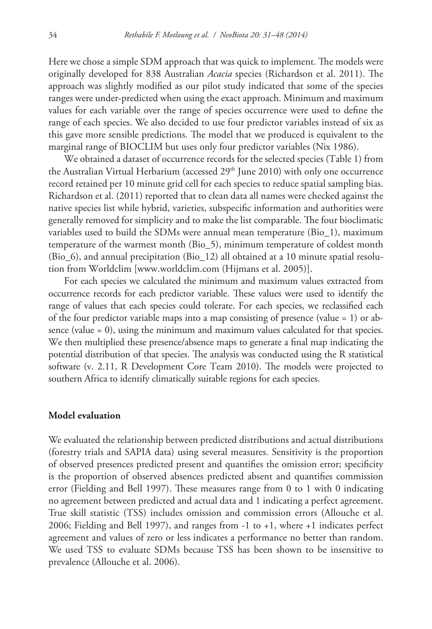Here we chose a simple SDM approach that was quick to implement. The models were originally developed for 838 Australian *Acacia* species (Richardson et al. 2011). The approach was slightly modified as our pilot study indicated that some of the species ranges were under-predicted when using the exact approach. Minimum and maximum values for each variable over the range of species occurrence were used to define the range of each species. We also decided to use four predictor variables instead of six as this gave more sensible predictions. The model that we produced is equivalent to the marginal range of BIOCLIM but uses only four predictor variables (Nix 1986).

We obtained a dataset of occurrence records for the selected species (Table 1) from the Australian Virtual Herbarium (accessed 29<sup>th</sup> June 2010) with only one occurrence record retained per 10 minute grid cell for each species to reduce spatial sampling bias. Richardson et al. (2011) reported that to clean data all names were checked against the native species list while hybrid, varieties, subspecific information and authorities were generally removed for simplicity and to make the list comparable. The four bioclimatic variables used to build the SDMs were annual mean temperature (Bio\_1), maximum temperature of the warmest month (Bio\_5), minimum temperature of coldest month (Bio\_6), and annual precipitation (Bio\_12) all obtained at a 10 minute spatial resolution from Worldclim [<www.worldclim.com>(Hijmans et al. 2005)].

For each species we calculated the minimum and maximum values extracted from occurrence records for each predictor variable. These values were used to identify the range of values that each species could tolerate. For each species, we reclassified each of the four predictor variable maps into a map consisting of presence (value = 1) or absence (value = 0), using the minimum and maximum values calculated for that species. We then multiplied these presence/absence maps to generate a final map indicating the potential distribution of that species. The analysis was conducted using the R statistical software (v. 2.11, R Development Core Team 2010). The models were projected to southern Africa to identify climatically suitable regions for each species.

#### **Model evaluation**

We evaluated the relationship between predicted distributions and actual distributions (forestry trials and SAPIA data) using several measures. Sensitivity is the proportion of observed presences predicted present and quantifies the omission error; specificity is the proportion of observed absences predicted absent and quantifies commission error (Fielding and Bell 1997). These measures range from 0 to 1 with 0 indicating no agreement between predicted and actual data and 1 indicating a perfect agreement. True skill statistic (TSS) includes omission and commission errors (Allouche et al. 2006; Fielding and Bell 1997), and ranges from -1 to +1, where +1 indicates perfect agreement and values of zero or less indicates a performance no better than random. We used TSS to evaluate SDMs because TSS has been shown to be insensitive to prevalence (Allouche et al. 2006).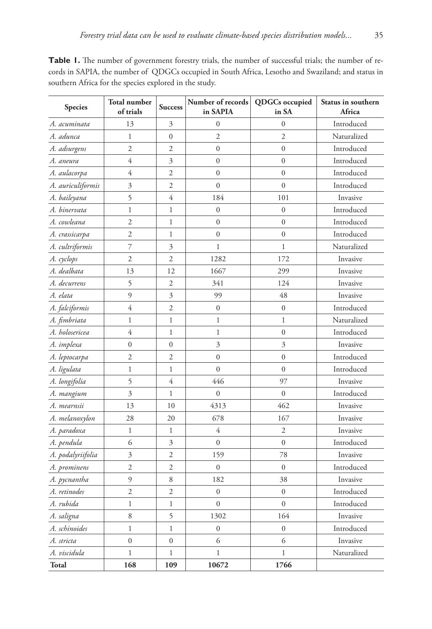| Species           | <b>Total number</b><br>of trials | <b>Success</b>   | Number of records<br>in SAPIA        | <b>QDGCs</b> occupied<br>in SA | Status in southern<br>Africa |  |
|-------------------|----------------------------------|------------------|--------------------------------------|--------------------------------|------------------------------|--|
| A. acuminata      | 13                               | 3                | $\overline{0}$                       | $\overline{0}$                 | Introduced                   |  |
| A. adunca         | $\mathbf{1}$                     | $\mathbf{0}$     | $\overline{c}$<br>$\mathfrak{2}$     |                                | Naturalized                  |  |
| A. adsurgens      | $\overline{2}$                   | $\overline{2}$   | $\boldsymbol{0}$<br>$\boldsymbol{0}$ |                                | Introduced                   |  |
| A. aneura         | $\overline{4}$                   | 3                | $\boldsymbol{0}$                     | $\boldsymbol{0}$               |                              |  |
| A. aulacorpa      | 4                                | $\overline{c}$   | $\overline{0}$                       | $\overline{0}$                 | Introduced                   |  |
| A. auriculiformis | 3                                | $\overline{2}$   | $\mathbf{0}$                         | $\boldsymbol{0}$               | Introduced                   |  |
| A. baileyana      | 5                                | 4                | 184                                  | 101                            | Invasive                     |  |
| A. binervata      | $\mathbf{1}$                     | 1                | $\mathbf{0}$                         | $\boldsymbol{0}$               | Introduced                   |  |
| A. cowleana       | $\overline{c}$                   | 1                | $\overline{0}$                       | $\boldsymbol{0}$               | Introduced                   |  |
| A. crassicarpa    | $\overline{c}$                   | $\mathbf 1$      | $\boldsymbol{0}$                     | $\boldsymbol{0}$               | Introduced                   |  |
| A. cultriformis   | 7                                | 3                | $\mathbf{1}$                         | $\mathbf{1}$                   | Naturalized                  |  |
| A. cyclops        | $\overline{c}$                   | $\overline{c}$   | 1282                                 | 172                            | Invasive                     |  |
| A. dealbata       | 13                               | 12               | 1667                                 | 299                            | Invasive                     |  |
| A. decurrens      | 5                                | $\overline{2}$   | 341                                  | 124                            | Invasive                     |  |
| A. elata          | 9                                | 3                | 99                                   | 48                             | Invasive                     |  |
| A. falciformis    | 4                                | $\mathfrak{2}$   | $\boldsymbol{0}$                     | $\boldsymbol{0}$               | Introduced                   |  |
| A. fimbriata      | $\mathbf{1}$                     | 1                | $\mathbf{1}$                         | $\mathbf{1}$                   | Naturalized                  |  |
| A. holosericea    | 4                                | 1                | 1                                    | $\boldsymbol{0}$               | Introduced                   |  |
| A. implexa        | $\boldsymbol{0}$                 | $\boldsymbol{0}$ | 3                                    | 3                              | Invasive                     |  |
| A. leptocarpa     | $\mathfrak{2}$                   | $\overline{2}$   | $\mathbf{0}$                         | $\boldsymbol{0}$               | Introduced                   |  |
| A. ligulata       | $\mathbf{1}$                     | $\mathbf{1}$     | $\overline{0}$                       | $\overline{0}$                 | Introduced                   |  |
| A. longifolia     | 5                                | 4                | 446                                  | 97                             | Invasive                     |  |
| A. mangium        | 3                                | 1                | $\boldsymbol{0}$                     | $\boldsymbol{0}$               | Introduced                   |  |
| A. mearnsii       | 13                               | 10               | 4313                                 | 462                            | Invasive                     |  |
| A. melanoxylon    | 28                               | 20               | 678                                  | 167                            | Invasive                     |  |
| A. paradoxa       | $\mathbf{1}$                     | $\mathbf 1$      | 4                                    | 2                              | Invasive                     |  |
| A. pendula        | 6                                | 3                | $\mathbf{0}$                         | $\boldsymbol{0}$               | Introduced                   |  |
| A. podalyriifolia | $\mathfrak{Z}$                   | $\overline{2}$   | 159                                  | 78                             | Invasive                     |  |
| A. prominens      | $\overline{2}$                   | $\overline{2}$   | $\boldsymbol{0}$<br>$\boldsymbol{0}$ |                                | Introduced                   |  |
| A. pycnantha      | 9                                | 8                | 182<br>38                            |                                | Invasive                     |  |
| A. retinodes      | $\overline{2}$                   | $\mathfrak{2}$   | $\boldsymbol{0}$<br>$\boldsymbol{0}$ |                                | Introduced                   |  |
| A. rubida         | $\mathbf{1}$                     | 1                | $\overline{0}$<br>$\boldsymbol{0}$   |                                | Introduced                   |  |
| A. saligna        | 8                                | 5                | 1302                                 | 164                            | Invasive                     |  |
| A. schinoides     | $\mathbf 1$                      | $\mathbf 1$      | $\boldsymbol{0}$                     | $\boldsymbol{0}$               | Introduced                   |  |
| A. stricta        | $\boldsymbol{0}$                 | $\mathbf{0}$     | 6                                    | 6                              | Invasive                     |  |
| A. viscidula      | $\mathbf{1}$                     | $\mathbf 1$      | $\mathbf{1}$                         | $\mathbf 1$                    | Naturalized                  |  |
| Total             | 168                              | 109              | 10672                                | 1766                           |                              |  |

Table 1. The number of government forestry trials, the number of successful trials; the number of records in SAPIA, the number of QDGCs occupied in South Africa, Lesotho and Swaziland; and status in southern Africa for the species explored in the study.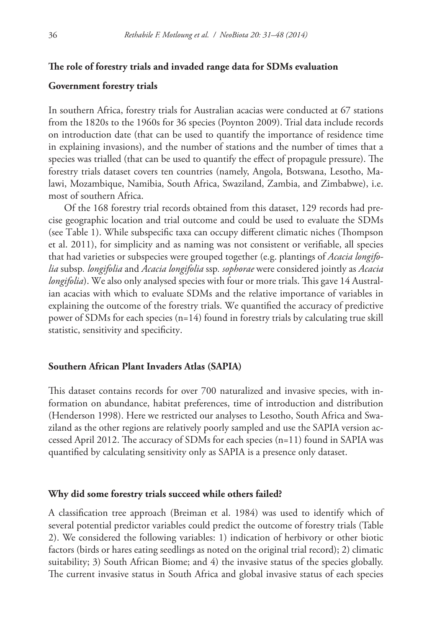#### **The role of forestry trials and invaded range data for SDMs evaluation**

#### **Government forestry trials**

In southern Africa, forestry trials for Australian acacias were conducted at 67 stations from the 1820s to the 1960s for 36 species (Poynton 2009). Trial data include records on introduction date (that can be used to quantify the importance of residence time in explaining invasions), and the number of stations and the number of times that a species was trialled (that can be used to quantify the effect of propagule pressure). The forestry trials dataset covers ten countries (namely, Angola, Botswana, Lesotho, Malawi, Mozambique, Namibia, South Africa, Swaziland, Zambia, and Zimbabwe), i.e. most of southern Africa.

Of the 168 forestry trial records obtained from this dataset, 129 records had precise geographic location and trial outcome and could be used to evaluate the SDMs (see Table 1). While subspecific taxa can occupy different climatic niches (Thompson et al. 2011), for simplicity and as naming was not consistent or verifiable, all species that had varieties or subspecies were grouped together (e.g. plantings of *Acacia longifolia* subsp*. longifolia* and *Acacia longifolia* ssp*. sophorae* were considered jointly as *Acacia longifolia*). We also only analysed species with four or more trials. This gave 14 Australian acacias with which to evaluate SDMs and the relative importance of variables in explaining the outcome of the forestry trials. We quantified the accuracy of predictive power of SDMs for each species (n=14) found in forestry trials by calculating true skill statistic, sensitivity and specificity.

## **Southern African Plant Invaders Atlas (SAPIA)**

This dataset contains records for over 700 naturalized and invasive species, with information on abundance, habitat preferences, time of introduction and distribution (Henderson 1998). Here we restricted our analyses to Lesotho, South Africa and Swaziland as the other regions are relatively poorly sampled and use the SAPIA version accessed April 2012. The accuracy of SDMs for each species (n=11) found in SAPIA was quantified by calculating sensitivity only as SAPIA is a presence only dataset.

#### **Why did some forestry trials succeed while others failed?**

A classification tree approach (Breiman et al. 1984) was used to identify which of several potential predictor variables could predict the outcome of forestry trials (Table 2). We considered the following variables: 1) indication of herbivory or other biotic factors (birds or hares eating seedlings as noted on the original trial record); 2) climatic suitability; 3) South African Biome; and 4) the invasive status of the species globally. The current invasive status in South Africa and global invasive status of each species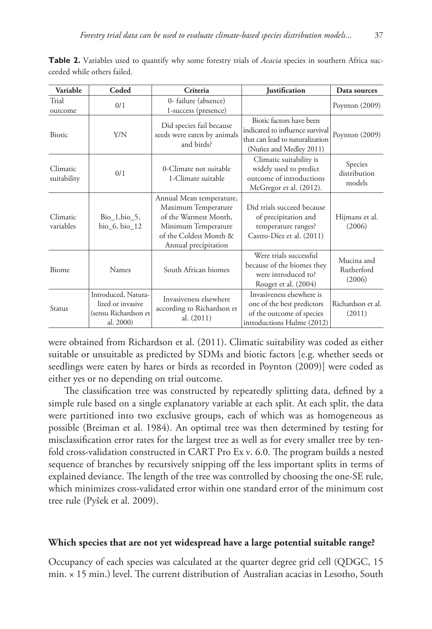| Variable                | Coded                                                                         | Criteria                                                                                                                                          | <b>Justification</b>                                                                                                      | Data sources                       |
|-------------------------|-------------------------------------------------------------------------------|---------------------------------------------------------------------------------------------------------------------------------------------------|---------------------------------------------------------------------------------------------------------------------------|------------------------------------|
| Trial<br>outcome        | 0/1                                                                           | 0-failure (absence)<br>1-success (presence)                                                                                                       |                                                                                                                           | Poynton $(2009)$                   |
| Biotic                  | Y/N                                                                           | Did species fail because<br>seeds were eaten by animals<br>and birds?                                                                             | Biotic factors have been<br>indicated to influence survival<br>that can lead to naturalization<br>(Nuñez and Medley 2011) | Poynton (2009)                     |
| Climatic<br>suitability | 0/1                                                                           | 0-Climate not suitable<br>1-Climate suitable                                                                                                      | Climatic suitability is<br>widely used to predict<br>outcome of introductions<br>McGregor et al. (2012).                  | Species<br>distribution<br>models  |
| Climatic<br>variables   | $Bio_1, bio_5,$<br>bio_6, bio_12                                              | Annual Mean temperature,<br>Maximum Temperature<br>of the Warmest Month,<br>Minimum Temperature<br>of the Coldest Month &<br>Annual precipitation | Did trials succeed because<br>of precipitation and<br>temperature ranges?<br>Castro-Díez et al. (2011)                    | Hijmans et al.<br>(2006)           |
| Biome                   | Names                                                                         | South African biomes                                                                                                                              | Were trials successful<br>because of the biomes they<br>were introduced to?<br>Rouget et al. (2004)                       | Mucina and<br>Rutherford<br>(2006) |
| Status                  | Introduced, Natura-<br>lized or invasive<br>(sensu Richardson et<br>al. 2000) | Invasiveness elsewhere<br>according to Richardson et<br>al. (2011)                                                                                | Invasiveness elsewhere is<br>one of the best predictors<br>of the outcome of species<br>introductions Hulme (2012)        | Richardson et al.<br>(2011)        |

**Table 2.** Variables used to quantify why some forestry trials of *Acacia* species in southern Africa succeeded while others failed.

were obtained from Richardson et al. (2011). Climatic suitability was coded as either suitable or unsuitable as predicted by SDMs and biotic factors [e.g. whether seeds or seedlings were eaten by hares or birds as recorded in Poynton (2009)] were coded as either yes or no depending on trial outcome.

The classification tree was constructed by repeatedly splitting data, defined by a simple rule based on a single explanatory variable at each split. At each split, the data were partitioned into two exclusive groups, each of which was as homogeneous as possible (Breiman et al. 1984). An optimal tree was then determined by testing for misclassification error rates for the largest tree as well as for every smaller tree by tenfold cross-validation constructed in CART Pro Ex v. 6.0. The program builds a nested sequence of branches by recursively snipping off the less important splits in terms of explained deviance. The length of the tree was controlled by choosing the one-SE rule, which minimizes cross-validated error within one standard error of the minimum cost tree rule (Pyšek et al. 2009).

#### **Which species that are not yet widespread have a large potential suitable range?**

Occupancy of each species was calculated at the quarter degree grid cell (QDGC, 15 min. × 15 min.) level. The current distribution of Australian acacias in Lesotho, South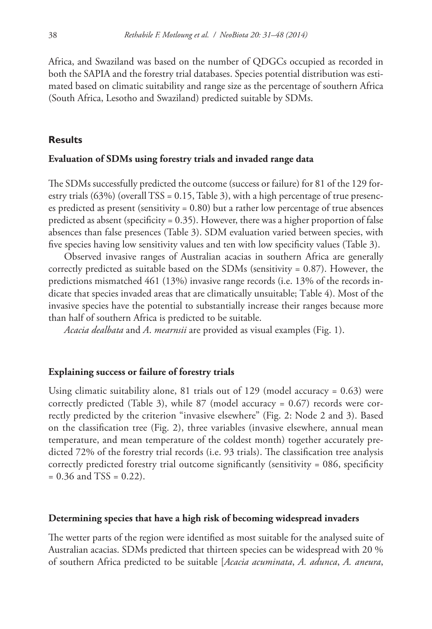Africa, and Swaziland was based on the number of QDGCs occupied as recorded in both the SAPIA and the forestry trial databases. Species potential distribution was estimated based on climatic suitability and range size as the percentage of southern Africa (South Africa, Lesotho and Swaziland) predicted suitable by SDMs.

# **Results**

#### **Evaluation of SDMs using forestry trials and invaded range data**

The SDMs successfully predicted the outcome (success or failure) for 81 of the 129 forestry trials  $(63%)$  (overall TSS = 0.15, Table 3), with a high percentage of true presences predicted as present (sensitivity  $= 0.80$ ) but a rather low percentage of true absences predicted as absent (specificity =  $0.35$ ). However, there was a higher proportion of false absences than false presences (Table 3). SDM evaluation varied between species, with five species having low sensitivity values and ten with low specificity values (Table 3).

Observed invasive ranges of Australian acacias in southern Africa are generally correctly predicted as suitable based on the SDMs (sensitivity  $= 0.87$ ). However, the predictions mismatched 461 (13%) invasive range records (i.e. 13% of the records indicate that species invaded areas that are climatically unsuitable; Table 4). Most of the invasive species have the potential to substantially increase their ranges because more than half of southern Africa is predicted to be suitable.

*Acacia dealbata* and *A*. *mearnsii* are provided as visual examples (Fig. 1).

## **Explaining success or failure of forestry trials**

Using climatic suitability alone, 81 trials out of 129 (model accuracy = 0.63) were correctly predicted (Table 3), while 87 (model accuracy = 0.67) records were correctly predicted by the criterion "invasive elsewhere" (Fig. 2: Node 2 and 3). Based on the classification tree (Fig. 2), three variables (invasive elsewhere, annual mean temperature, and mean temperature of the coldest month) together accurately predicted 72% of the forestry trial records (i.e. 93 trials). The classification tree analysis correctly predicted forestry trial outcome significantly (sensitivity = 086, specificity  $= 0.36$  and TSS  $= 0.22$ ).

## **Determining species that have a high risk of becoming widespread invaders**

The wetter parts of the region were identified as most suitable for the analysed suite of Australian acacias. SDMs predicted that thirteen species can be widespread with 20 % of southern Africa predicted to be suitable [*Acacia acuminata*, *A. adunca*, *A. aneura*,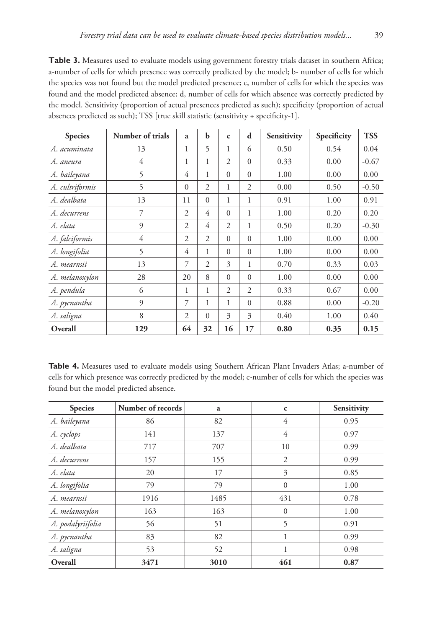Table 3. Measures used to evaluate models using government forestry trials dataset in southern Africa; a-number of cells for which presence was correctly predicted by the model; b- number of cells for which the species was not found but the model predicted presence; c, number of cells for which the species was found and the model predicted absence; d, number of cells for which absence was correctly predicted by the model. Sensitivity (proportion of actual presences predicted as such); specificity (proportion of actual absences predicted as such); TSS [true skill statistic (sensitivity + specificity-1].

| <b>Species</b>  | Number of trials | a              | b              | $\mathbf c$    | d              | Sensitivity | Specificity | <b>TSS</b> |
|-----------------|------------------|----------------|----------------|----------------|----------------|-------------|-------------|------------|
| A. acuminata    | 13               | 1              | 5              | 1              | 6              | 0.50        | 0.54        | 0.04       |
| A. aneura       | 4                | 1              | 1              | $\overline{2}$ | $\Omega$       | 0.33        | 0.00        | $-0.67$    |
| A. baileyana    | 5                | 4              | 1              | $\Omega$       | $\Omega$       | 1.00        | 0.00        | 0.00       |
| A. cultriformis | 5                | $\Omega$       | $\overline{2}$ | 1              | $\overline{2}$ | 0.00        | 0.50        | $-0.50$    |
| A. dealbata     | 13               | 11             | $\Omega$       | 1              | 1              | 0.91        | 1.00        | 0.91       |
| A. decurrens    | 7                | 2              | 4              | $\theta$       | 1              | 1.00        | 0.20        | 0.20       |
| A. elata        | $\mathcal{Q}$    | 2              | 4              | $\overline{2}$ | 1              | 0.50        | 0.20        | $-0.30$    |
| A. falciformis  | 4                | $\overline{2}$ | $\overline{2}$ | $\Omega$       | $\Omega$       | 1.00        | 0.00        | 0.00       |
| A. longifolia   | 5                | 4              | 1              | $\Omega$       | $\Omega$       | 1.00        | 0.00        | 0.00       |
| A. mearnsii     | 13               | 7              | 2              | 3              | 1              | 0.70        | 0.33        | 0.03       |
| A. melanoxylon  | 28               | 20             | 8              | $\Omega$       | $\Omega$       | 1.00        | 0.00        | 0.00       |
| A. pendula      | 6                | 1              | 1              | $\overline{2}$ | $\overline{2}$ | 0.33        | 0.67        | 0.00       |
| A. pycnantha    | $\overline{9}$   | 7              | 1              | 1              | $\Omega$       | 0.88        | 0.00        | $-0.20$    |
| A. saligna      | 8                | $\overline{c}$ | $\Omega$       | 3              | 3              | 0.40        | 1.00        | 0.40       |
| Overall         | 129              | 64             | 32             | 16             | 17             | 0.80        | 0.35        | 0.15       |

**Table 4.** Measures used to evaluate models using Southern African Plant Invaders Atlas; a-number of cells for which presence was correctly predicted by the model; c-number of cells for which the species was found but the model predicted absence.

| <b>Species</b>    | Number of records | a    | $\mathbf c$ | Sensitivity |  |
|-------------------|-------------------|------|-------------|-------------|--|
| A. baileyana      | 86                | 82   | 4           | 0.95        |  |
| A. cyclops        | 141               | 137  | 4           | 0.97        |  |
| A. dealbata       | 717               | 707  | 10          | 0.99        |  |
| A. decurrens      | 157               | 155  | 2           | 0.99        |  |
| A. elata          | 20                | 17   | 3           | 0.85        |  |
| A. longifolia     | 79                | 79   | $\Omega$    | 1.00        |  |
| A. mearnsii       | 1916              | 1485 | 431         | 0.78        |  |
| A. melanoxylon    | 163               | 163  | $\Omega$    | 1.00        |  |
| A. podalyriifolia | 56                | 51   | 5           | 0.91        |  |
| A. pycnantha      | 83                | 82   |             | 0.99        |  |
| A. saligna        | 53                | 52   |             | 0.98        |  |
| Overall           | 3471              | 3010 | 461         | 0.87        |  |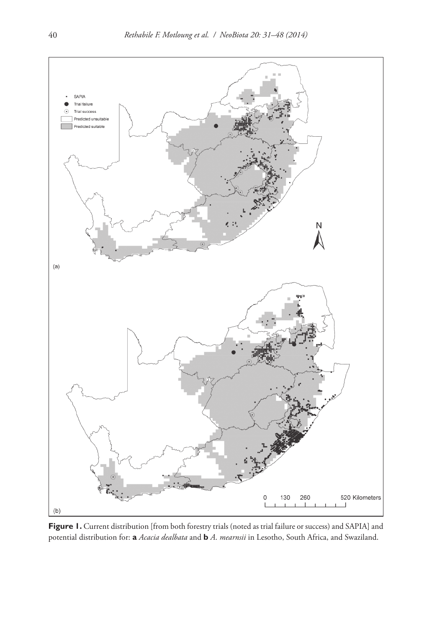

**Figure 1.** Current distribution [from both forestry trials (noted as trial failure or success) and SAPIA] and potential distribution for: **a** *Acacia dealbata* and **b** *A*. *mearnsii* in Lesotho, South Africa, and Swaziland.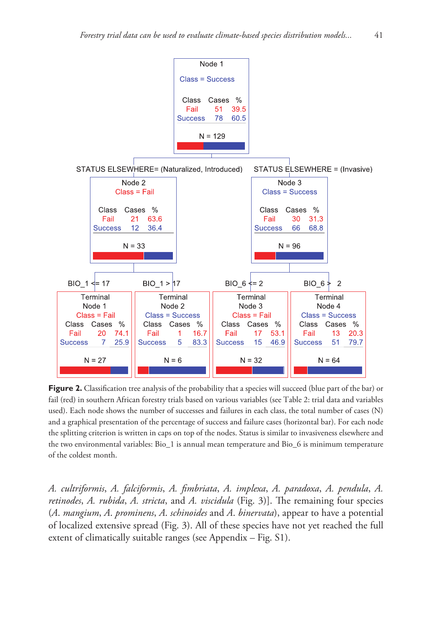

**Figure 2.** Classification tree analysis of the probability that a species will succeed (blue part of the bar) or fail (red) in southern African forestry trials based on various variables (see Table 2: trial data and variables used). Each node shows the number of successes and failures in each class, the total number of cases (N) and a graphical presentation of the percentage of success and failure cases (horizontal bar). For each node the splitting criterion is written in caps on top of the nodes. Status is similar to invasiveness elsewhere and the two environmental variables: Bio\_1 is annual mean temperature and Bio\_6 is minimum temperature of the coldest month.

*A. cultriformis*, *A. falciformis*, *A. fimbriata*, *A. implexa*, *A. paradoxa*, *A. pendula*, *A. retinodes*, *A. rubida*, *A. stricta*, and *A. viscidula* (Fig. 3)]. The remaining four species (*A*. *mangium*, *A*. *prominens*, *A*. *schinoides* and *A*. *binervata*), appear to have a potential of localized extensive spread (Fig. 3). All of these species have not yet reached the full extent of climatically suitable ranges (see Appendix – Fig. S1).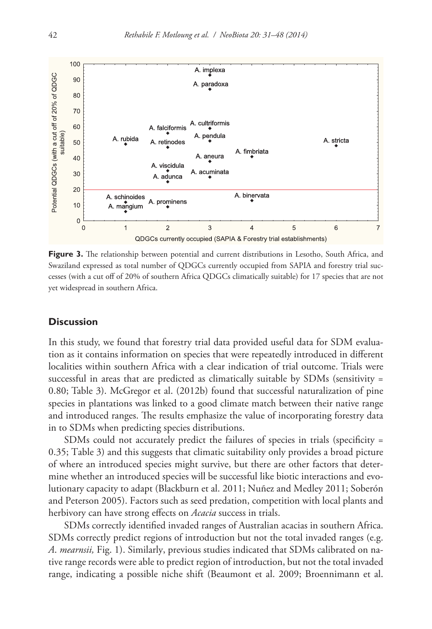

Figure 3. The relationship between potential and current distributions in Lesotho, South Africa, and Swaziland expressed as total number of QDGCs currently occupied from SAPIA and forestry trial successes (with a cut off of 20% of southern Africa QDGCs climatically suitable) for 17 species that are not yet widespread in southern Africa.

# **Discussion**

In this study, we found that forestry trial data provided useful data for SDM evaluation as it contains information on species that were repeatedly introduced in different localities within southern Africa with a clear indication of trial outcome. Trials were successful in areas that are predicted as climatically suitable by SDMs (sensitivity = 0.80; Table 3). McGregor et al. (2012b) found that successful naturalization of pine species in plantations was linked to a good climate match between their native range and introduced ranges. The results emphasize the value of incorporating forestry data in to SDMs when predicting species distributions.

SDMs could not accurately predict the failures of species in trials (specificity = 0.35; Table 3) and this suggests that climatic suitability only provides a broad picture of where an introduced species might survive, but there are other factors that determine whether an introduced species will be successful like biotic interactions and evolutionary capacity to adapt (Blackburn et al. 2011; Nuñez and Medley 2011; Soberón and Peterson 2005). Factors such as seed predation, competition with local plants and herbivory can have strong effects on *Acacia* success in trials.

SDMs correctly identified invaded ranges of Australian acacias in southern Africa. SDMs correctly predict regions of introduction but not the total invaded ranges (e.g. *A*. *mearnsii,* Fig. 1). Similarly, previous studies indicated that SDMs calibrated on native range records were able to predict region of introduction, but not the total invaded range, indicating a possible niche shift (Beaumont et al. 2009; Broennimann et al.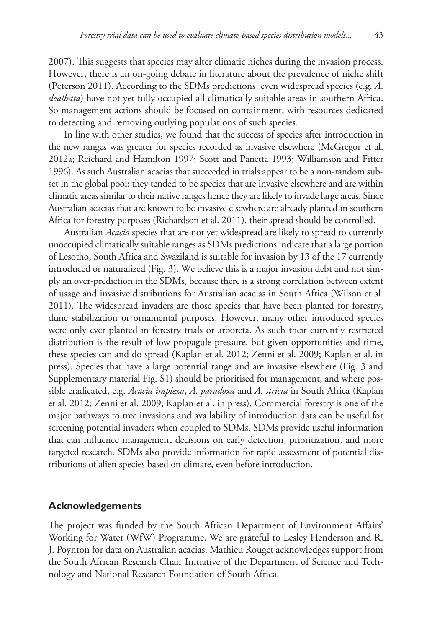2007). This suggests that species may alter climatic niches during the invasion process. However, there is an on-going debate in literature about the prevalence of niche shift (Peterson 2011). According to the SDMs predictions, even widespread species (e.g. *A*. *dealbata*) have not yet fully occupied all climatically suitable areas in southern Africa. So management actions should be focused on containment, with resources dedicated to detecting and removing outlying populations of such species.

In line with other studies, we found that the success of species after introduction in the new ranges was greater for species recorded as invasive elsewhere (McGregor et al. 2012a; Reichard and Hamilton 1997; Scott and Panetta 1993; Williamson and Fitter 1996). As such Australian acacias that succeeded in trials appear to be a non-random subset in the global pool: they tended to be species that are invasive elsewhere and are within climatic areas similar to their native ranges hence they are likely to invade large areas. Since Australian acacias that are known to be invasive elsewhere are already planted in southern Africa for forestry purposes (Richardson et al. 2011), their spread should be controlled.

Australian *Acacia* species that are not yet widespread are likely to spread to currently unoccupied climatically suitable ranges as SDMs predictions indicate that a large portion of Lesotho, South Africa and Swaziland is suitable for invasion by 13 of the 17 currently introduced or naturalized (Fig. 3). We believe this is a major invasion debt and not simply an over-prediction in the SDMs, because there is a strong correlation between extent of usage and invasive distributions for Australian acacias in South Africa (Wilson et al. 2011). The widespread invaders are those species that have been planted for forestry, dune stabilization or ornamental purposes. However, many other introduced species were only ever planted in forestry trials or arboreta. As such their currently restricted distribution is the result of low propagule pressure, but given opportunities and time, these species can and do spread (Kaplan et al. 2012; Zenni et al. 2009; Kaplan et al. in press). Species that have a large potential range and are invasive elsewhere (Fig. 3 and Supplementary material Fig. S1) should be prioritised for management, and where possible eradicated, e.g. *Acacia implexa*, *A*. *paradoxa* and *A*. *stricta* in South Africa (Kaplan et al. 2012; Zenni et al. 2009; Kaplan et al. in press). Commercial forestry is one of the major pathways to tree invasions and availability of introduction data can be useful for screening potential invaders when coupled to SDMs. SDMs provide useful information that can influence management decisions on early detection, prioritization, and more targeted research. SDMs also provide information for rapid assessment of potential distributions of alien species based on climate, even before introduction.

#### **Acknowledgements**

The project was funded by the South African Department of Environment Affairs' Working for Water (WfW) Programme. We are grateful to Lesley Henderson and R. J. Poynton for data on Australian acacias. Mathieu Rouget acknowledges support from the South African Research Chair Initiative of the Department of Science and Technology and National Research Foundation of South Africa.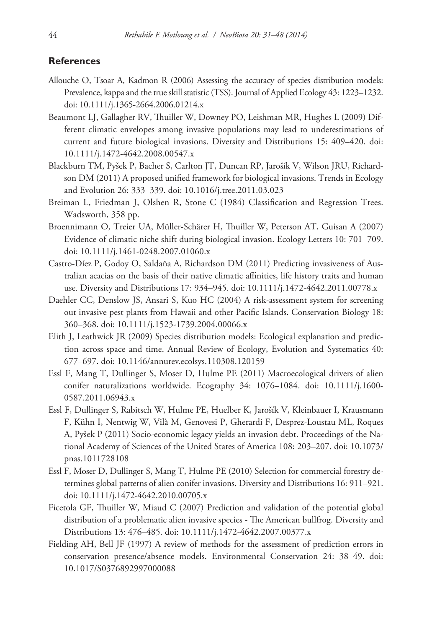#### **References**

- Allouche O, Tsoar A, Kadmon R (2006) Assessing the accuracy of species distribution models: Prevalence, kappa and the true skill statistic (TSS). Journal of Applied Ecology 43: 1223–1232. [doi: 10.1111/j.1365-2664.2006.01214.x](http://dx.doi.org/10.1111/j.1365-2664.2006.01214.x)
- Beaumont LJ, Gallagher RV, Thuiller W, Downey PO, Leishman MR, Hughes L (2009) Different climatic envelopes among invasive populations may lead to underestimations of current and future biological invasions. Diversity and Distributions 15: 409–420. [doi:](http://dx.doi.org/10.1111/j.1472-4642.2008.00547.x) [10.1111/j.1472-4642.2008.00547.x](http://dx.doi.org/10.1111/j.1472-4642.2008.00547.x)
- Blackburn TM, Pyšek P, Bacher S, Carlton JT, Duncan RP, Jarošík V, Wilson JRU, Richardson DM (2011) A proposed unified framework for biological invasions. Trends in Ecology and Evolution 26: 333–339. [doi: 10.1016/j.tree.2011.03.023](http://dx.doi.org/10.1016/j.tree.2011.03.023)
- Breiman L, Friedman J, Olshen R, Stone C (1984) Classification and Regression Trees. Wadsworth, 358 pp.
- Broennimann O, Treier UA, Müller-Schärer H, Thuiller W, Peterson AT, Guisan A (2007) Evidence of climatic niche shift during biological invasion. Ecology Letters 10: 701–709. [doi: 10.1111/j.1461-0248.2007.01060.x](http://dx.doi.org/10.1111/j.1461-0248.2007.01060.x)
- Castro-Díez P, Godoy O, Saldaña A, Richardson DM (2011) Predicting invasiveness of Australian acacias on the basis of their native climatic affinities, life history traits and human use. Diversity and Distributions 17: 934–945. [doi: 10.1111/j.1472-4642.2011.00778.x](http://dx.doi.org/10.1111/j.1472-4642.2011.00778.x)
- Daehler CC, Denslow JS, Ansari S, Kuo HC (2004) A risk-assessment system for screening out invasive pest plants from Hawaii and other Pacific Islands. Conservation Biology 18: 360–368. [doi: 10.1111/j.1523-1739.2004.00066.x](http://dx.doi.org/10.1111/j.1523-1739.2004.00066.x)
- Elith J, Leathwick JR (2009) Species distribution models: Ecological explanation and prediction across space and time. Annual Review of Ecology, Evolution and Systematics 40: 677–697. [doi: 10.1146/annurev.ecolsys.110308.120159](http://dx.doi.org/10.1146/annurev.ecolsys.110308.120159)
- Essl F, Mang T, Dullinger S, Moser D, Hulme PE (2011) Macroecological drivers of alien conifer naturalizations worldwide. Ecography 34: 1076–1084. [doi: 10.1111/j.1600-](http://dx.doi.org/10.1111/j.1600-0587.2011.06943.x) [0587.2011.06943.x](http://dx.doi.org/10.1111/j.1600-0587.2011.06943.x)
- Essl F, Dullinger S, Rabitsch W, Hulme PE, Huelber K, Jarošík V, Kleinbauer I, Krausmann F, Kühn I, Nentwig W, Vilà M, Genovesi P, Gherardi F, Desprez-Loustau ML, Roques A, Pyšek P (2011) Socio-economic legacy yields an invasion debt. Proceedings of the National Academy of Sciences of the United States of America 108: 203–207. [doi: 10.1073/](http://dx.doi.org/10.1073/pnas.1011728108) [pnas.1011728108](http://dx.doi.org/10.1073/pnas.1011728108)
- Essl F, Moser D, Dullinger S, Mang T, Hulme PE (2010) Selection for commercial forestry determines global patterns of alien conifer invasions. Diversity and Distributions 16: 911–921. [doi: 10.1111/j.1472-4642.2010.00705.x](http://dx.doi.org/10.1 111/j.1472-4642.2010.00705.x)
- Ficetola GF, Thuiller W, Miaud C (2007) Prediction and validation of the potential global distribution of a problematic alien invasive species - The American bullfrog. Diversity and Distributions 13: 476–485. [doi: 10.1111/j.1472-4642.2007.00377.x](http://dx.doi.org/10.1111/j.1472-4642.2007.00377.x)
- Fielding AH, Bell JF (1997) A review of methods for the assessment of prediction errors in conservation presence/absence models. Environmental Conservation 24: 38–49. [doi:](http://dx.doi.org/10.1017/S0376892997000088) [10.1017/S0376892997000088](http://dx.doi.org/10.1017/S0376892997000088)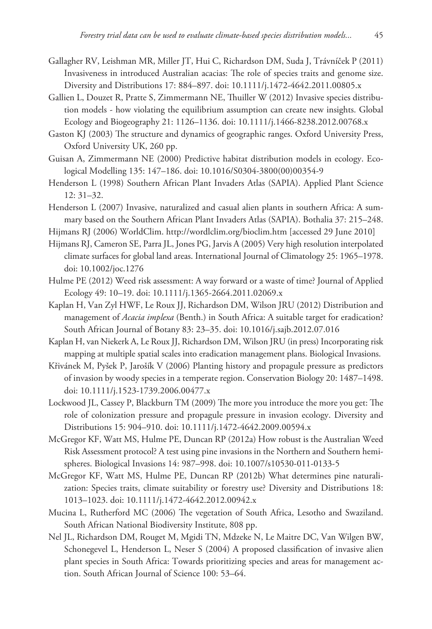- Gallagher RV, Leishman MR, Miller JT, Hui C, Richardson DM, Suda J, Trávníček P (2011) Invasiveness in introduced Australian acacias: The role of species traits and genome size. Diversity and Distributions 17: 884–897. [doi: 10.1111/j.1472-4642.2011.00805.x](http://dx.doi.org/10.1111/j.1472-4642.2011.00805.x)
- Gallien L, Douzet R, Pratte S, Zimmermann NE, Thuiller W (2012) Invasive species distribution models - how violating the equilibrium assumption can create new insights. Global Ecology and Biogeography 21: 1126–1136. [doi: 10.1111/j.1466-8238.2012.00768.x](http://dx.doi.org/10.1111/j.1466-8238.2012.00768.x)
- Gaston KJ (2003) The structure and dynamics of geographic ranges. Oxford University Press, Oxford University UK, 260 pp.
- Guisan A, Zimmermann NE (2000) Predictive habitat distribution models in ecology. Ecological Modelling 135: 147–186. [doi: 10.1016/S0304-3800\(00\)00354-9](http://dx.doi.org/10.1016/S0304-3800(00)00354-9)
- Henderson L (1998) Southern African Plant Invaders Atlas (SAPIA). Applied Plant Science 12: 31–32.
- Henderson L (2007) Invasive, naturalized and casual alien plants in southern Africa: A summary based on the Southern African Plant Invaders Atlas (SAPIA). Bothalia 37: 215–248.
- Hijmans RJ (2006) WorldClim.<http://wordlclim.org/bioclim.htm>[accessed 29 June 2010]
- Hijmans RJ, Cameron SE, Parra JL, Jones PG, Jarvis A (2005) Very high resolution interpolated climate surfaces for global land areas. International Journal of Climatology 25: 1965–1978. [doi: 10.1002/joc.1276](http://dx.doi.org/10.1002/joc.1276)
- Hulme PE (2012) Weed risk assessment: A way forward or a waste of time? Journal of Applied Ecology 49: 10–19. [doi: 10.1111/j.1365-2664.2011.02069.x](http://dx.doi.org/10.1111/j.1365-2664.2011.02069.x)
- Kaplan H, Van Zyl HWF, Le Roux JJ, Richardson DM, Wilson JRU (2012) Distribution and management of *Acacia implexa* (Benth.) in South Africa: A suitable target for eradication? South African Journal of Botany 83: 23–35. [doi: 10.1016/j.sajb.2012.07.016](http://dx.doi.org/10.1016/j.sajb.2012.07.016)
- Kaplan H, van Niekerk A, Le Roux JJ, Richardson DM, Wilson JRU (in press) Incorporating risk mapping at multiple spatial scales into eradication management plans. Biological Invasions.
- Křivánek M, Pyšek P, Jarošík V (2006) Planting history and propagule pressure as predictors of invasion by woody species in a temperate region. Conservation Biology 20: 1487–1498. [doi: 10.1111/j.1523-1739.2006.00477.x](http://dx.doi.org/10.1111/j.1523-1739.2006.00477.x)
- Lockwood JL, Cassey P, Blackburn TM (2009) The more you introduce the more you get: The role of colonization pressure and propagule pressure in invasion ecology. Diversity and Distributions 15: 904–910. [doi: 10.1111/j.1472-4642.2009.00594.x](http://dx.doi.org/10.1111/j.1472-4642.2009.00594.x)
- McGregor KF, Watt MS, Hulme PE, Duncan RP (2012a) How robust is the Australian Weed Risk Assessment protocol? A test using pine invasions in the Northern and Southern hemispheres. Biological Invasions 14: 987–998. [doi: 10.1007/s10530-011-0133-5](http://dx.doi.org/10.1007/s10530-011-0133-5)
- McGregor KF, Watt MS, Hulme PE, Duncan RP (2012b) What determines pine naturalization: Species traits, climate suitability or forestry use? Diversity and Distributions 18: 1013–1023. [doi: 10.1111/j.1472-4642.2012.00942.x](http://dx.doi.org/10.1111/j.1472-4642.2012.00942.x)
- Mucina L, Rutherford MC (2006) The vegetation of South Africa, Lesotho and Swaziland. South African National Biodiversity Institute, 808 pp.
- Nel JL, Richardson DM, Rouget M, Mgidi TN, Mdzeke N, Le Maitre DC, Van Wilgen BW, Schonegevel L, Henderson L, Neser S (2004) A proposed classification of invasive alien plant species in South Africa: Towards prioritizing species and areas for management action. South African Journal of Science 100: 53–64.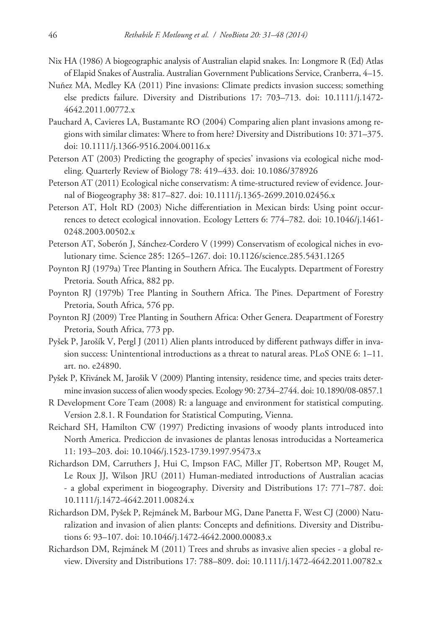- Nix HA (1986) A biogeographic analysis of Australian elapid snakes. In: Longmore R (Ed) Atlas of Elapid Snakes of Australia. Australian Government Publications Service, Cranberra, 4–15.
- Nuñez MA, Medley KA (2011) Pine invasions: Climate predicts invasion success; something else predicts failure. Diversity and Distributions 17: 703–713. [doi: 10.1111/j.1472-](http://dx.doi.org/10.1111/j.1472-4642.2011.00772.x) [4642.2011.00772.x](http://dx.doi.org/10.1111/j.1472-4642.2011.00772.x)
- Pauchard A, Cavieres LA, Bustamante RO (2004) Comparing alien plant invasions among regions with similar climates: Where to from here? Diversity and Distributions 10: 371–375. [doi: 10.1111/j.1366-9516.2004.00116.x](http://dx.doi.org/10.1111/j.1366-9516.2004.00116.x)
- Peterson AT (2003) Predicting the geography of species' invasions via ecological niche modeling. Quarterly Review of Biology 78: 419–433. [doi: 10.1086/378926](http://dx.doi.org/10.1086/378926)
- Peterson AT (2011) Ecological niche conservatism: A time-structured review of evidence. Journal of Biogeography 38: 817–827. [doi: 10.1111/j.1365-2699.2010.02456.x](http://dx.doi.org/10.1111/j.1365-2699.2010.02456.x)
- Peterson AT, Holt RD (2003) Niche differentiation in Mexican birds: Using point occurrences to detect ecological innovation. Ecology Letters 6: 774–782. [doi: 10.1046/j.1461-](http://dx.doi.org/10.1046/j.1461-0248.2003.00502.x) [0248.2003.00502.x](http://dx.doi.org/10.1046/j.1461-0248.2003.00502.x)
- Peterson AT, Soberón J, Sánchez-Cordero V (1999) Conservatism of ecological niches in evolutionary time. Science 285: 1265–1267. [doi: 10.1126/science.285.5431.1265](http://dx.doi.org/10.1126/science.285.5431.1265)
- Poynton RJ (1979a) Tree Planting in Southern Africa. The Eucalypts. Department of Forestry Pretoria. South Africa, 882 pp.
- Poynton RJ (1979b) Tree Planting in Southern Africa. The Pines. Department of Forestry Pretoria, South Africa, 576 pp.
- Poynton RJ (2009) Tree Planting in Southern Africa: Other Genera. Deapartment of Forestry Pretoria, South Africa, 773 pp.
- Pyšek P, Jarošík V, Pergl J (2011) Alien plants introduced by different pathways differ in invasion success: Unintentional introductions as a threat to natural areas. PLoS ONE 6: 1–11. art. no. e24890.
- Pyšek P, Křivánek M, Jarošik V (2009) Planting intensity, residence time, and species traits determine invasion success of alien woody species. Ecology 90: 2734–2744. [doi: 10.1890/08-0857.1](http://dx.doi.org/10.1890/08-0857.1)
- R Development Core Team (2008) R: a language and environment for statistical computing. Version 2.8.1. R Foundation for Statistical Computing, Vienna.
- Reichard SH, Hamilton CW (1997) Predicting invasions of woody plants introduced into North America. Prediccion de invasiones de plantas lenosas introducidas a Norteamerica 11: 193–203. [doi: 10.1046/j.1523-1739.1997.95473.x](http://dx.doi.org/10.1046/j.1523-1739.1997.95473.x)
- Richardson DM, Carruthers J, Hui C, Impson FAC, Miller JT, Robertson MP, Rouget M, Le Roux JJ, Wilson JRU (2011) Human-mediated introductions of Australian acacias - a global experiment in biogeography. Diversity and Distributions 17: 771–787. [doi:](http://dx.doi.org/10.1111/j.1472-4642.2011.00824.x) [10.1111/j.1472-4642.2011.00824.x](http://dx.doi.org/10.1111/j.1472-4642.2011.00824.x)
- Richardson DM, Pyšek P, Rejmánek M, Barbour MG, Dane Panetta F, West CJ (2000) Naturalization and invasion of alien plants: Concepts and definitions. Diversity and Distributions 6: 93–107. [doi: 10.1046/j.1472-4642.2000.00083.x](http://dx.doi.org/10.1046/j.1472-4642.2000.00083.x)
- Richardson DM, Rejmánek M (2011) Trees and shrubs as invasive alien species a global review. Diversity and Distributions 17: 788–809. [doi: 10.1111/j.1472-4642.2011.00782.x](http://dx.doi.org/10.1111/j.1472-4642.2011.00782.x)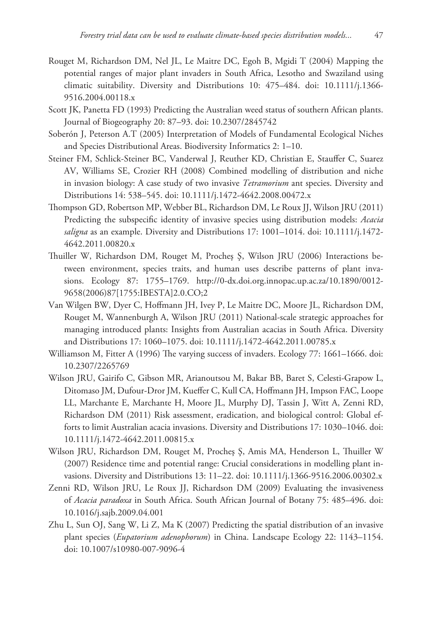- Rouget M, Richardson DM, Nel JL, Le Maitre DC, Egoh B, Mgidi T (2004) Mapping the potential ranges of major plant invaders in South Africa, Lesotho and Swaziland using climatic suitability. Diversity and Distributions 10: 475–484. [doi: 10.1111/j.1366-](http://dx.doi.org/10.1111/j.1366-9516.2004.00118.x) [9516.2004.00118.x](http://dx.doi.org/10.1111/j.1366-9516.2004.00118.x)
- Scott JK, Panetta FD (1993) Predicting the Australian weed status of southern African plants. Journal of Biogeography 20: 87–93. [doi: 10.2307/2845742](http://dx.doi.org/10.2307/2845742)
- Soberón J, Peterson A.T (2005) Interpretation of Models of Fundamental Ecological Niches and Species Distributional Areas. Biodiversity Informatics 2: 1–10.
- Steiner FM, Schlick-Steiner BC, Vanderwal J, Reuther KD, Christian E, Stauffer C, Suarez AV, Williams SE, Crozier RH (2008) Combined modelling of distribution and niche in invasion biology: A case study of two invasive *Tetramorium* ant species. Diversity and Distributions 14: 538–545. [doi: 10.1111/j.1472-4642.2008.00472.x](http://dx.doi.org/10.1111/j.1472-4642.2008.00472.x)
- Thompson GD, Robertson MP, Webber BL, Richardson DM, Le Roux JJ, Wilson JRU (2011) Predicting the subspecific identity of invasive species using distribution models: *Acacia saligna* as an example. Diversity and Distributions 17: 1001–1014. [doi: 10.1111/j.1472-](http://dx.doi.org/10.1111/j.1472-4642.2011.00820.x) [4642.2011.00820.x](http://dx.doi.org/10.1111/j.1472-4642.2011.00820.x)
- Thuiller W, Richardson DM, Rouget M, Procheş Ş, Wilson JRU (2006) Interactions between environment, species traits, and human uses describe patterns of plant invasions. Ecology 87: 1755–1769. [http://0-dx.doi.org.innopac.up.ac.za/10.1890/0012-](http://0-dx.doi.org.innopac.up.ac.za/10.1890/0012-9658(2006)87[1755:IBESTA]2.0.CO;2) [9658\(2006\)87\[1755:IBESTA\]2.0.CO;2](http://0-dx.doi.org.innopac.up.ac.za/10.1890/0012-9658(2006)87[1755:IBESTA]2.0.CO;2)
- Van Wilgen BW, Dyer C, Hoffmann JH, Ivey P, Le Maitre DC, Moore JL, Richardson DM, Rouget M, Wannenburgh A, Wilson JRU (2011) National-scale strategic approaches for managing introduced plants: Insights from Australian acacias in South Africa. Diversity and Distributions 17: 1060–1075. [doi: 10.1111/j.1472-4642.2011.00785.x](http://dx.doi.org/10.1111/j.1472-4642.2011.00785.x)
- Williamson M, Fitter A (1996) The varying success of invaders. Ecology 77: 1661–1666. [doi:](http://dx.doi.org/10.2307/2265769) [10.2307/2265769](http://dx.doi.org/10.2307/2265769)
- Wilson JRU, Gairifo C, Gibson MR, Arianoutsou M, Bakar BB, Baret S, Celesti-Grapow L, Ditomaso JM, Dufour-Dror JM, Kueffer C, Kull CA, Hoffmann JH, Impson FAC, Loope LL, Marchante E, Marchante H, Moore JL, Murphy DJ, Tassin J, Witt A, Zenni RD, Richardson DM (2011) Risk assessment, eradication, and biological control: Global efforts to limit Australian acacia invasions. Diversity and Distributions 17: 1030–1046. [doi:](http://dx.doi.org/10.1111/j.1472-4642.2011.00815.x) [10.1111/j.1472-4642.2011.00815.x](http://dx.doi.org/10.1111/j.1472-4642.2011.00815.x)
- Wilson JRU, Richardson DM, Rouget M, Procheş Ş, Amis MA, Henderson L, Thuiller W (2007) Residence time and potential range: Crucial considerations in modelling plant invasions. Diversity and Distributions 13: 11–22. [doi: 10.1111/j.1366-9516.2006.00302.x](http://dx.doi.org/10.1111/j.1366-9516.2006.00302.x)
- Zenni RD, Wilson JRU, Le Roux JJ, Richardson DM (2009) Evaluating the invasiveness of *Acacia paradoxa* in South Africa. South African Journal of Botany 75: 485–496. [doi:](http://dx.doi.org/10.1016/j.sajb.2009.04.001) [10.1016/j.sajb.2009.04.001](http://dx.doi.org/10.1016/j.sajb.2009.04.001)
- Zhu L, Sun OJ, Sang W, Li Z, Ma K (2007) Predicting the spatial distribution of an invasive plant species (*Eupatorium adenophorum*) in China. Landscape Ecology 22: 1143–1154. [doi: 10.1007/s10980-007-9096-4](http://dx.doi.org/10.1007/s10980-007-9096-4)